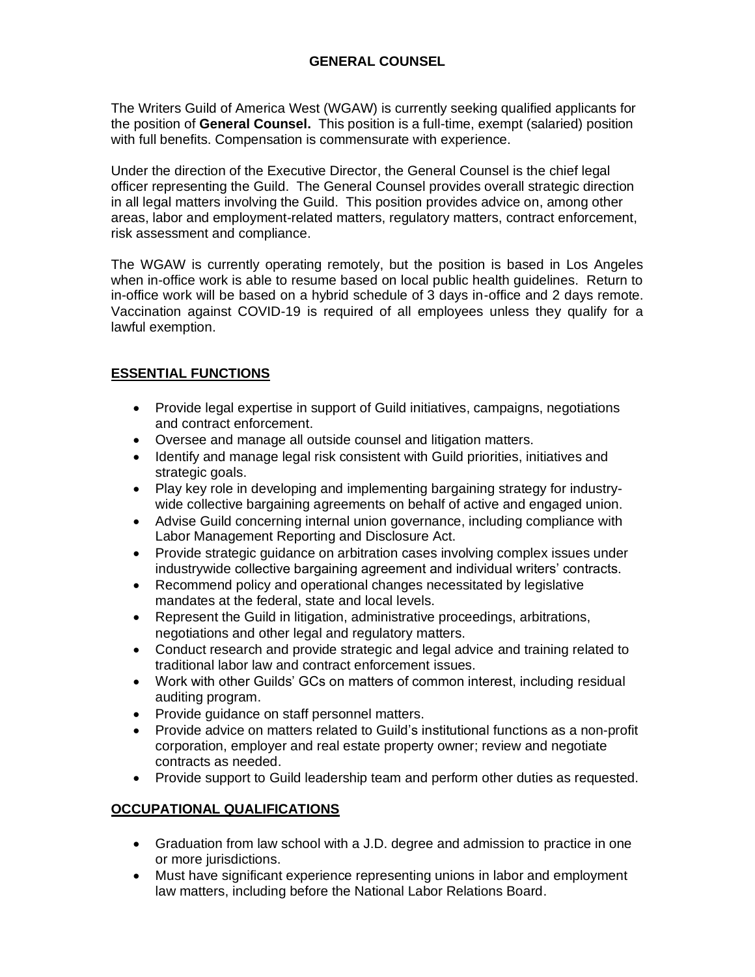## **GENERAL COUNSEL**

The Writers Guild of America West (WGAW) is currently seeking qualified applicants for the position of **General Counsel.** This position is a full-time, exempt (salaried) position with full benefits. Compensation is commensurate with experience.

Under the direction of the Executive Director, the General Counsel is the chief legal officer representing the Guild. The General Counsel provides overall strategic direction in all legal matters involving the Guild. This position provides advice on, among other areas, labor and employment-related matters, regulatory matters, contract enforcement, risk assessment and compliance.

The WGAW is currently operating remotely, but the position is based in Los Angeles when in-office work is able to resume based on local public health guidelines. Return to in-office work will be based on a hybrid schedule of 3 days in-office and 2 days remote. Vaccination against COVID-19 is required of all employees unless they qualify for a lawful exemption.

## **ESSENTIAL FUNCTIONS**

- Provide legal expertise in support of Guild initiatives, campaigns, negotiations and contract enforcement.
- Oversee and manage all outside counsel and litigation matters.
- Identify and manage legal risk consistent with Guild priorities, initiatives and strategic goals.
- Play key role in developing and implementing bargaining strategy for industrywide collective bargaining agreements on behalf of active and engaged union.
- Advise Guild concerning internal union governance, including compliance with Labor Management Reporting and Disclosure Act.
- Provide strategic guidance on arbitration cases involving complex issues under industrywide collective bargaining agreement and individual writers' contracts.
- Recommend policy and operational changes necessitated by legislative mandates at the federal, state and local levels.
- Represent the Guild in litigation, administrative proceedings, arbitrations, negotiations and other legal and regulatory matters.
- Conduct research and provide strategic and legal advice and training related to traditional labor law and contract enforcement issues.
- Work with other Guilds' GCs on matters of common interest, including residual auditing program.
- Provide guidance on staff personnel matters.
- Provide advice on matters related to Guild's institutional functions as a non-profit corporation, employer and real estate property owner; review and negotiate contracts as needed.
- Provide support to Guild leadership team and perform other duties as requested.

## **OCCUPATIONAL QUALIFICATIONS**

- Graduation from law school with a J.D. degree and admission to practice in one or more jurisdictions.
- Must have significant experience representing unions in labor and employment law matters, including before the National Labor Relations Board.